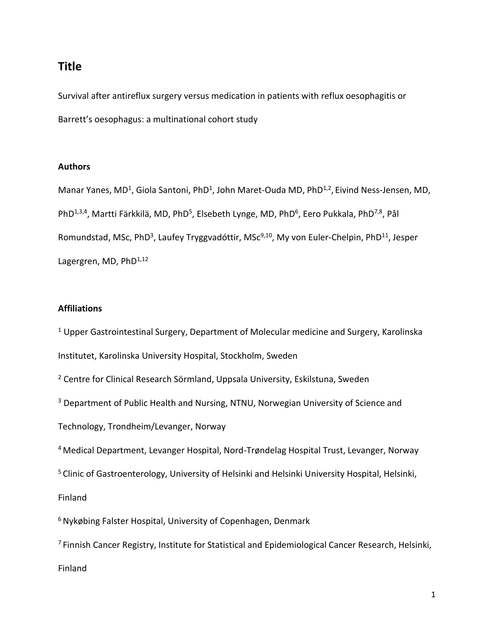# **Title**

Survival after antireflux surgery versus medication in patients with reflux oesophagitis or Barrett's oesophagus: a multinational cohort study

### **Authors**

Manar Yanes, MD<sup>1</sup>, Giola Santoni, PhD<sup>1</sup>, John Maret-Ouda MD, PhD<sup>1,2</sup>, Eivind Ness-Jensen, MD, PhD<sup>1,3,4</sup>, Martti Färkkilä, MD, PhD<sup>5</sup>, Elsebeth Lynge, MD, PhD<sup>6</sup>, Eero Pukkala, PhD<sup>7,8</sup>, Pål Romundstad, MSc, PhD<sup>3</sup>, Laufey Tryggvadóttir, MSc<sup>9,10</sup>, My von Euler-Chelpin, PhD<sup>11</sup>, Jesper Lagergren, MD,  $PhD^{1,12}$ 

### **Affiliations**

 $1$  Upper Gastrointestinal Surgery, Department of Molecular medicine and Surgery, Karolinska Institutet, Karolinska University Hospital, Stockholm, Sweden

<sup>2</sup> Centre for Clinical Research Sörmland, Uppsala University, Eskilstuna, Sweden

<sup>3</sup> Department of Public Health and Nursing, NTNU, Norwegian University of Science and

Technology, Trondheim/Levanger, Norway

<sup>4</sup> Medical Department, Levanger Hospital, Nord-Trøndelag Hospital Trust, Levanger, Norway

<sup>5</sup> Clinic of Gastroenterology, University of Helsinki and Helsinki University Hospital, Helsinki,

Finland

<sup>6</sup> Nykøbing Falster Hospital, University of Copenhagen, Denmark

<sup>7</sup>Finnish Cancer Registry, Institute for Statistical and Epidemiological Cancer Research, Helsinki, Finland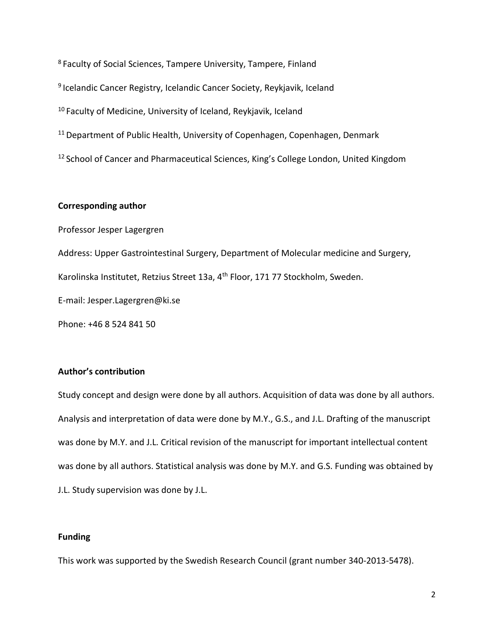<sup>8</sup>Faculty of Social Sciences, Tampere University, Tampere, Finland <sup>9</sup> Icelandic Cancer Registry, Icelandic Cancer Society, Reykjavik, Iceland <sup>10</sup> Faculty of Medicine, University of Iceland, Reykjavik, Iceland <sup>11</sup> Department of Public Health, University of Copenhagen, Copenhagen, Denmark <sup>12</sup> School of Cancer and Pharmaceutical Sciences, King's College London, United Kingdom

### **Corresponding author**

Professor Jesper Lagergren

Address: Upper Gastrointestinal Surgery, Department of Molecular medicine and Surgery,

Karolinska Institutet, Retzius Street 13a, 4<sup>th</sup> Floor, 171 77 Stockholm, Sweden.

E-mail: [Jesper.Lagergren@ki.se](mailto:Jesper.Lagergren@ki.se)

Phone: +46 8 524 841 50

### **Author's contribution**

Study concept and design were done by all authors. Acquisition of data was done by all authors. Analysis and interpretation of data were done by M.Y., G.S., and J.L. Drafting of the manuscript was done by M.Y. and J.L. Critical revision of the manuscript for important intellectual content was done by all authors. Statistical analysis was done by M.Y. and G.S. Funding was obtained by J.L. Study supervision was done by J.L.

### **Funding**

This work was supported by the Swedish Research Council (grant number 340-2013-5478).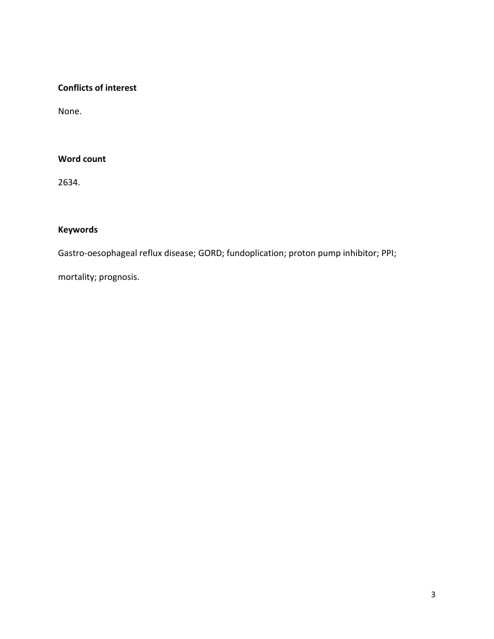### **Conflicts of interest**

None.

### **Word count**

2634.

# **Keywords**

Gastro-oesophageal reflux disease; GORD; fundoplication; proton pump inhibitor; PPI;

mortality; prognosis.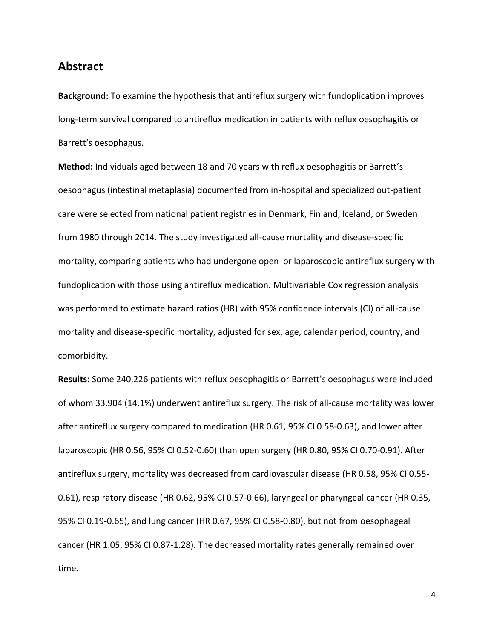# **Abstract**

**Background:** To examine the hypothesis that antireflux surgery with fundoplication improves long-term survival compared to antireflux medication in patients with reflux oesophagitis or Barrett's oesophagus.

**Method:** Individuals aged between 18 and 70 years with reflux oesophagitis or Barrett's oesophagus (intestinal metaplasia) documented from in-hospital and specialized out-patient care were selected from national patient registries in Denmark, Finland, Iceland, or Sweden from 1980 through 2014. The study investigated all-cause mortality and disease-specific mortality, comparing patients who had undergone open or laparoscopic antireflux surgery with fundoplication with those using antireflux medication. Multivariable Cox regression analysis was performed to estimate hazard ratios (HR) with 95% confidence intervals (CI) of all-cause mortality and disease-specific mortality, adjusted for sex, age, calendar period, country, and comorbidity.

**Results:** Some 240,226 patients with reflux oesophagitis or Barrett's oesophagus were included of whom 33,904 (14.1%) underwent antireflux surgery. The risk of all-cause mortality was lower after antireflux surgery compared to medication (HR 0.61, 95% CI 0.58-0.63), and lower after laparoscopic (HR 0.56, 95% CI 0.52-0.60) than open surgery (HR 0.80, 95% CI 0.70-0.91). After antireflux surgery, mortality was decreased from cardiovascular disease (HR 0.58, 95% CI 0.55- 0.61), respiratory disease (HR 0.62, 95% CI 0.57-0.66), laryngeal or pharyngeal cancer (HR 0.35, 95% CI 0.19-0.65), and lung cancer (HR 0.67, 95% CI 0.58-0.80), but not from oesophageal cancer (HR 1.05, 95% CI 0.87-1.28). The decreased mortality rates generally remained over time.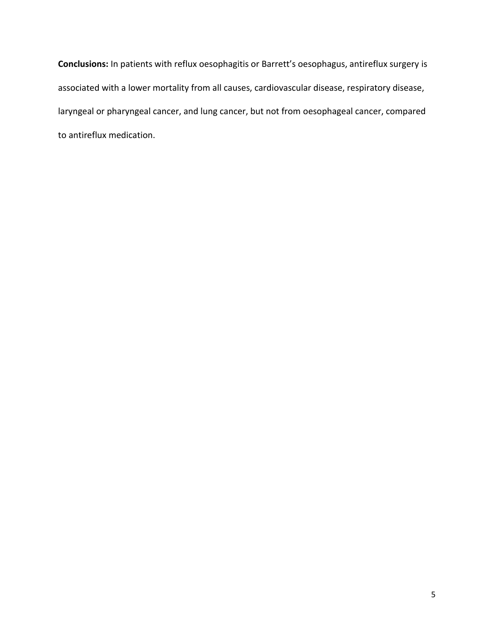**Conclusions:** In patients with reflux oesophagitis or Barrett's oesophagus, antireflux surgery is associated with a lower mortality from all causes, cardiovascular disease, respiratory disease, laryngeal or pharyngeal cancer, and lung cancer, but not from oesophageal cancer, compared to antireflux medication.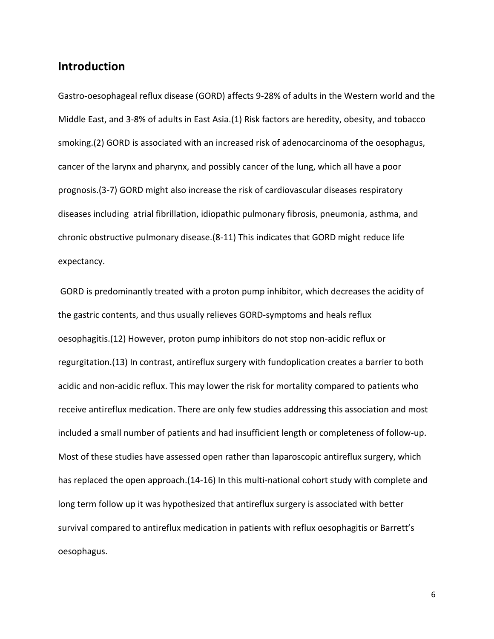# **Introduction**

Gastro-oesophageal reflux disease (GORD) affects 9-28% of adults in the Western world and the Middle East, and 3-8% of adults in East Asia.(1) Risk factors are heredity, obesity, and tobacco smoking.(2) GORD is associated with an increased risk of adenocarcinoma of the oesophagus, cancer of the larynx and pharynx, and possibly cancer of the lung, which all have a poor prognosis.(3-7) GORD might also increase the risk of cardiovascular diseases respiratory diseases including atrial fibrillation, idiopathic pulmonary fibrosis, pneumonia, asthma, and chronic obstructive pulmonary disease.(8-11) This indicates that GORD might reduce life expectancy.

GORD is predominantly treated with a proton pump inhibitor, which decreases the acidity of the gastric contents, and thus usually relieves GORD-symptoms and heals reflux oesophagitis.(12) However, proton pump inhibitors do not stop non-acidic reflux or regurgitation.(13) In contrast, antireflux surgery with fundoplication creates a barrier to both acidic and non-acidic reflux. This may lower the risk for mortality compared to patients who receive antireflux medication. There are only few studies addressing this association and most included a small number of patients and had insufficient length or completeness of follow-up. Most of these studies have assessed open rather than laparoscopic antireflux surgery, which has replaced the open approach.(14-16) In this multi-national cohort study with complete and long term follow up it was hypothesized that antireflux surgery is associated with better survival compared to antireflux medication in patients with reflux oesophagitis or Barrett's oesophagus.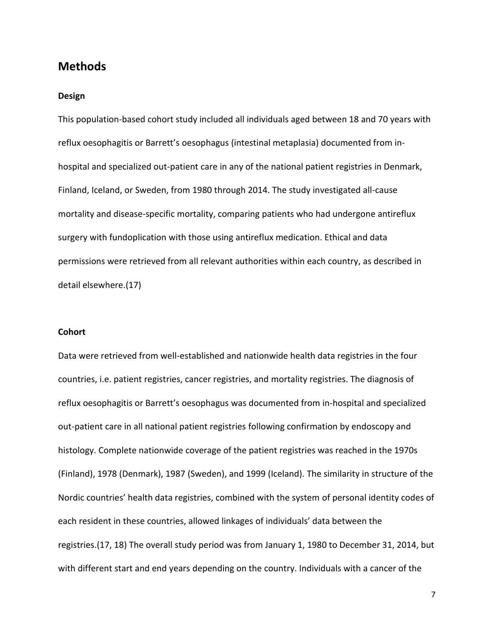# **Methods**

#### **Design**

This population-based cohort study included all individuals aged between 18 and 70 years with reflux oesophagitis or Barrett's oesophagus (intestinal metaplasia) documented from inhospital and specialized out-patient care in any of the national patient registries in Denmark, Finland, Iceland, or Sweden, from 1980 through 2014. The study investigated all-cause mortality and disease-specific mortality, comparing patients who had undergone antireflux surgery with fundoplication with those using antireflux medication. Ethical and data permissions were retrieved from all relevant authorities within each country, as described in detail elsewhere.(17)

#### **Cohort**

Data were retrieved from well-established and nationwide health data registries in the four countries, i.e. patient registries, cancer registries, and mortality registries. The diagnosis of reflux oesophagitis or Barrett's oesophagus was documented from in-hospital and specialized out-patient care in all national patient registries following confirmation by endoscopy and histology. Complete nationwide coverage of the patient registries was reached in the 1970s (Finland), 1978 (Denmark), 1987 (Sweden), and 1999 (Iceland). The similarity in structure of the Nordic countries' health data registries, combined with the system of personal identity codes of each resident in these countries, allowed linkages of individuals' data between the registries.(17, 18) The overall study period was from January 1, 1980 to December 31, 2014, but with different start and end years depending on the country. Individuals with a cancer of the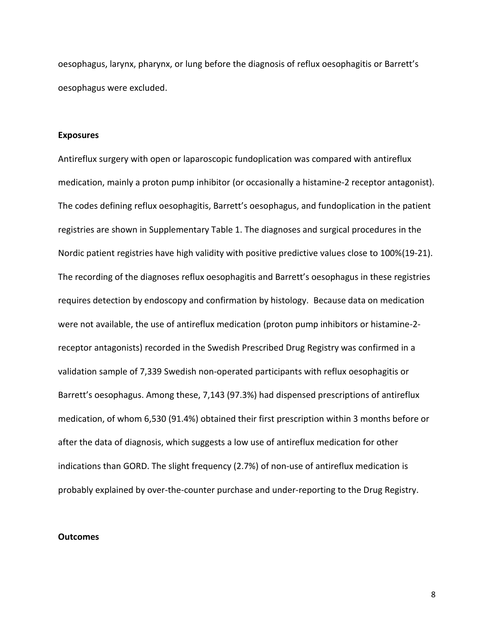oesophagus, larynx, pharynx, or lung before the diagnosis of reflux oesophagitis or Barrett's oesophagus were excluded.

#### **Exposures**

Antireflux surgery with open or laparoscopic fundoplication was compared with antireflux medication, mainly a proton pump inhibitor (or occasionally a histamine-2 receptor antagonist). The codes defining reflux oesophagitis, Barrett's oesophagus, and fundoplication in the patient registries are shown in Supplementary Table 1. The diagnoses and surgical procedures in the Nordic patient registries have high validity with positive predictive values close to 100%(19-21). The recording of the diagnoses reflux oesophagitis and Barrett's oesophagus in these registries requires detection by endoscopy and confirmation by histology. Because data on medication were not available, the use of antireflux medication (proton pump inhibitors or histamine-2 receptor antagonists) recorded in the Swedish Prescribed Drug Registry was confirmed in a validation sample of 7,339 Swedish non-operated participants with reflux oesophagitis or Barrett's oesophagus. Among these, 7,143 (97.3%) had dispensed prescriptions of antireflux medication, of whom 6,530 (91.4%) obtained their first prescription within 3 months before or after the data of diagnosis, which suggests a low use of antireflux medication for other indications than GORD. The slight frequency (2.7%) of non-use of antireflux medication is probably explained by over-the-counter purchase and under-reporting to the Drug Registry.

#### **Outcomes**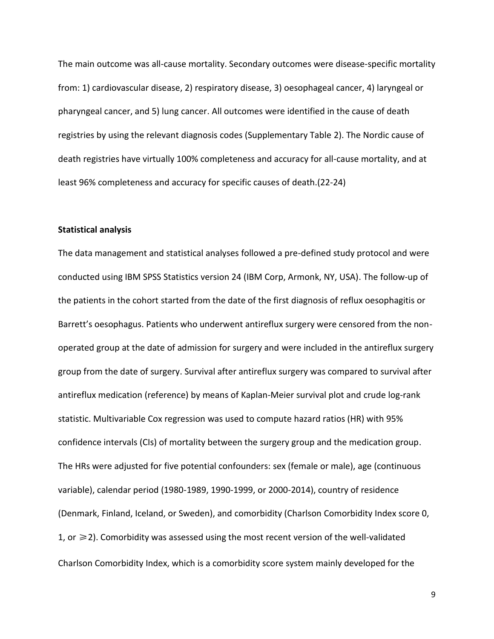The main outcome was all-cause mortality. Secondary outcomes were disease-specific mortality from: 1) cardiovascular disease, 2) respiratory disease, 3) oesophageal cancer, 4) laryngeal or pharyngeal cancer, and 5) lung cancer. All outcomes were identified in the cause of death registries by using the relevant diagnosis codes (Supplementary Table 2). The Nordic cause of death registries have virtually 100% completeness and accuracy for all-cause mortality, and at least 96% completeness and accuracy for specific causes of death.(22-24)

#### **Statistical analysis**

The data management and statistical analyses followed a pre-defined study protocol and were conducted using IBM SPSS Statistics version 24 (IBM Corp, Armonk, NY, USA). The follow-up of the patients in the cohort started from the date of the first diagnosis of reflux oesophagitis or Barrett's oesophagus. Patients who underwent antireflux surgery were censored from the nonoperated group at the date of admission for surgery and were included in the antireflux surgery group from the date of surgery. Survival after antireflux surgery was compared to survival after antireflux medication (reference) by means of Kaplan-Meier survival plot and crude log-rank statistic. Multivariable Cox regression was used to compute hazard ratios (HR) with 95% confidence intervals (CIs) of mortality between the surgery group and the medication group. The HRs were adjusted for five potential confounders: sex (female or male), age (continuous variable), calendar period (1980-1989, 1990-1999, or 2000-2014), country of residence (Denmark, Finland, Iceland, or Sweden), and comorbidity (Charlson Comorbidity Index score 0, 1, or  $\geq$  2). Comorbidity was assessed using the most recent version of the well-validated Charlson Comorbidity Index, which is a comorbidity score system mainly developed for the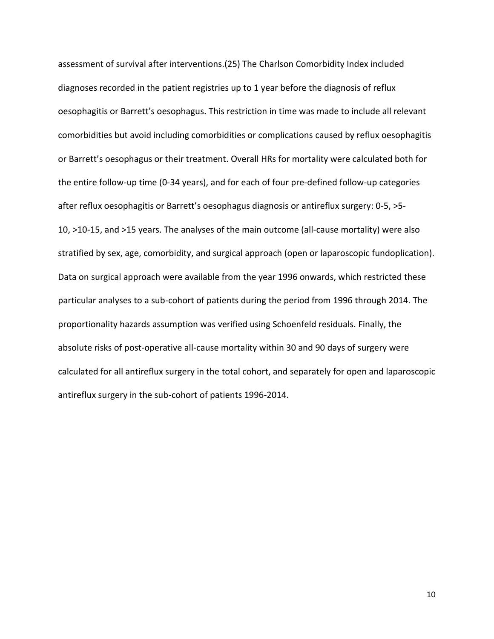assessment of survival after interventions.(25) The Charlson Comorbidity Index included diagnoses recorded in the patient registries up to 1 year before the diagnosis of reflux oesophagitis or Barrett's oesophagus. This restriction in time was made to include all relevant comorbidities but avoid including comorbidities or complications caused by reflux oesophagitis or Barrett's oesophagus or their treatment. Overall HRs for mortality were calculated both for the entire follow-up time (0-34 years), and for each of four pre-defined follow-up categories after reflux oesophagitis or Barrett's oesophagus diagnosis or antireflux surgery: 0-5, >5- 10, >10-15, and >15 years. The analyses of the main outcome (all-cause mortality) were also stratified by sex, age, comorbidity, and surgical approach (open or laparoscopic fundoplication). Data on surgical approach were available from the year 1996 onwards, which restricted these particular analyses to a sub-cohort of patients during the period from 1996 through 2014. The proportionality hazards assumption was verified using Schoenfeld residuals. Finally, the absolute risks of post-operative all-cause mortality within 30 and 90 days of surgery were calculated for all antireflux surgery in the total cohort, and separately for open and laparoscopic antireflux surgery in the sub-cohort of patients 1996-2014.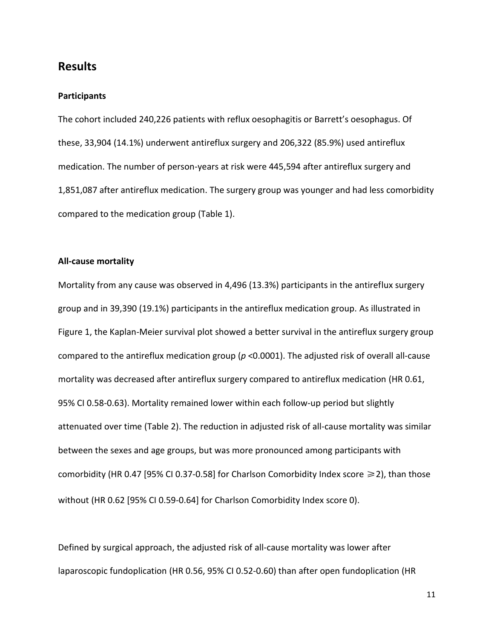# **Results**

#### **Participants**

The cohort included 240,226 patients with reflux oesophagitis or Barrett's oesophagus. Of these, 33,904 (14.1%) underwent antireflux surgery and 206,322 (85.9%) used antireflux medication. The number of person-years at risk were 445,594 after antireflux surgery and 1,851,087 after antireflux medication. The surgery group was younger and had less comorbidity compared to the medication group (Table 1).

### **All-cause mortality**

Mortality from any cause was observed in 4,496 (13.3%) participants in the antireflux surgery group and in 39,390 (19.1%) participants in the antireflux medication group. As illustrated in Figure 1, the Kaplan-Meier survival plot showed a better survival in the antireflux surgery group compared to the antireflux medication group (*p* ˂0.0001). The adjusted risk of overall all-cause mortality was decreased after antireflux surgery compared to antireflux medication (HR 0.61, 95% CI 0.58-0.63). Mortality remained lower within each follow-up period but slightly attenuated over time (Table 2). The reduction in adjusted risk of all-cause mortality was similar between the sexes and age groups, but was more pronounced among participants with comorbidity (HR 0.47 [95% CI 0.37-0.58] for Charlson Comorbidity Index score  $\geq$  2), than those without (HR 0.62 [95% CI 0.59-0.64] for Charlson Comorbidity Index score 0).

Defined by surgical approach, the adjusted risk of all-cause mortality was lower after laparoscopic fundoplication (HR 0.56, 95% CI 0.52-0.60) than after open fundoplication (HR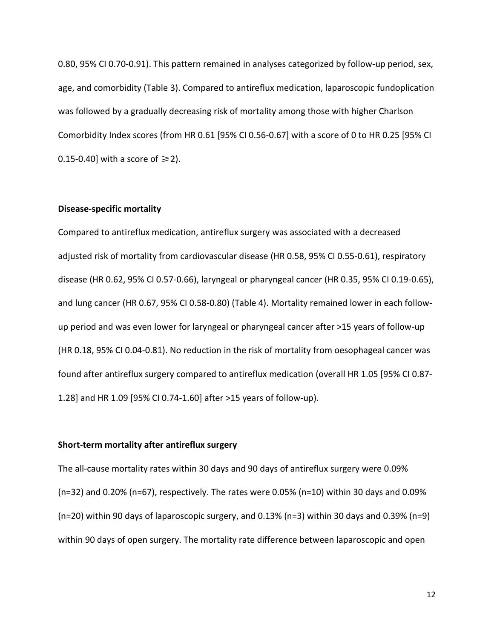0.80, 95% CI 0.70-0.91). This pattern remained in analyses categorized by follow-up period, sex, age, and comorbidity (Table 3). Compared to antireflux medication, laparoscopic fundoplication was followed by a gradually decreasing risk of mortality among those with higher Charlson Comorbidity Index scores (from HR 0.61 [95% CI 0.56-0.67] with a score of 0 to HR 0.25 [95% CI 0.15-0.40] with a score of  $\geq 2$ ).

### **Disease-specific mortality**

Compared to antireflux medication, antireflux surgery was associated with a decreased adjusted risk of mortality from cardiovascular disease (HR 0.58, 95% CI 0.55-0.61), respiratory disease (HR 0.62, 95% CI 0.57-0.66), laryngeal or pharyngeal cancer (HR 0.35, 95% CI 0.19-0.65), and lung cancer (HR 0.67, 95% CI 0.58-0.80) (Table 4). Mortality remained lower in each followup period and was even lower for laryngeal or pharyngeal cancer after >15 years of follow-up (HR 0.18, 95% CI 0.04-0.81). No reduction in the risk of mortality from oesophageal cancer was found after antireflux surgery compared to antireflux medication (overall HR 1.05 [95% CI 0.87- 1.28] and HR 1.09 [95% CI 0.74-1.60] after >15 years of follow-up).

### **Short-term mortality after antireflux surgery**

The all-cause mortality rates within 30 days and 90 days of antireflux surgery were 0.09% (n=32) and 0.20% (n=67), respectively. The rates were 0.05% (n=10) within 30 days and 0.09% (n=20) within 90 days of laparoscopic surgery, and 0.13% (n=3) within 30 days and 0.39% (n=9) within 90 days of open surgery. The mortality rate difference between laparoscopic and open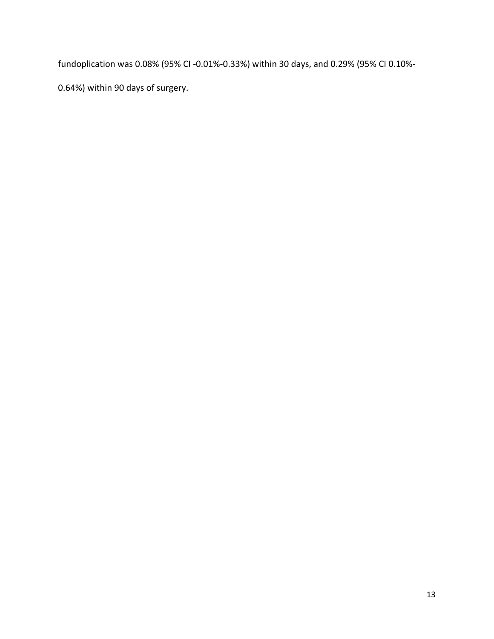fundoplication was 0.08% (95% CI -0.01%-0.33%) within 30 days, and 0.29% (95% CI 0.10%-

0.64%) within 90 days of surgery.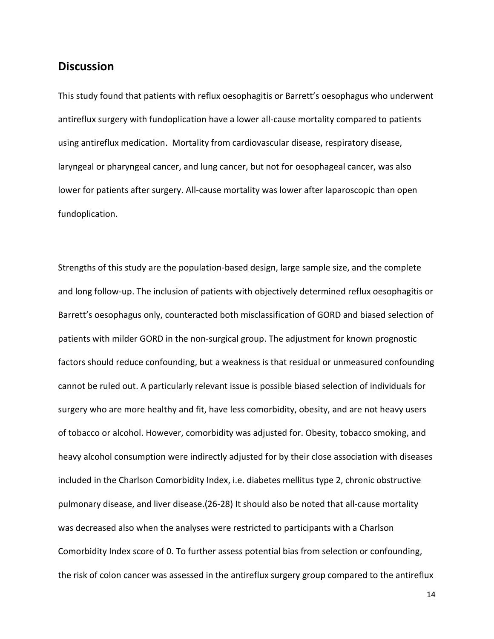# **Discussion**

This study found that patients with reflux oesophagitis or Barrett's oesophagus who underwent antireflux surgery with fundoplication have a lower all-cause mortality compared to patients using antireflux medication. Mortality from cardiovascular disease, respiratory disease, laryngeal or pharyngeal cancer, and lung cancer, but not for oesophageal cancer, was also lower for patients after surgery. All-cause mortality was lower after laparoscopic than open fundoplication.

Strengths of this study are the population-based design, large sample size, and the complete and long follow-up. The inclusion of patients with objectively determined reflux oesophagitis or Barrett's oesophagus only, counteracted both misclassification of GORD and biased selection of patients with milder GORD in the non-surgical group. The adjustment for known prognostic factors should reduce confounding, but a weakness is that residual or unmeasured confounding cannot be ruled out. A particularly relevant issue is possible biased selection of individuals for surgery who are more healthy and fit, have less comorbidity, obesity, and are not heavy users of tobacco or alcohol. However, comorbidity was adjusted for. Obesity, tobacco smoking, and heavy alcohol consumption were indirectly adjusted for by their close association with diseases included in the Charlson Comorbidity Index, i.e. diabetes mellitus type 2, chronic obstructive pulmonary disease, and liver disease.(26-28) It should also be noted that all-cause mortality was decreased also when the analyses were restricted to participants with a Charlson Comorbidity Index score of 0. To further assess potential bias from selection or confounding, the risk of colon cancer was assessed in the antireflux surgery group compared to the antireflux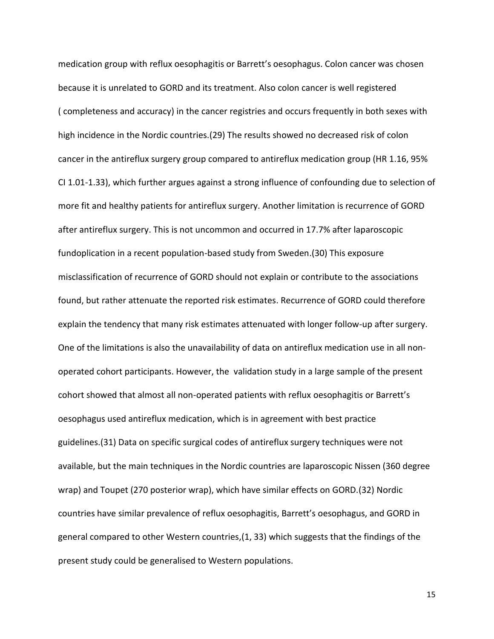medication group with reflux oesophagitis or Barrett's oesophagus. Colon cancer was chosen because it is unrelated to GORD and its treatment. Also colon cancer is well registered ( completeness and accuracy) in the cancer registries and occurs frequently in both sexes with high incidence in the Nordic countries.(29) The results showed no decreased risk of colon cancer in the antireflux surgery group compared to antireflux medication group (HR 1.16, 95% CI 1.01-1.33), which further argues against a strong influence of confounding due to selection of more fit and healthy patients for antireflux surgery. Another limitation is recurrence of GORD after antireflux surgery. This is not uncommon and occurred in 17.7% after laparoscopic fundoplication in a recent population-based study from Sweden.(30) This exposure misclassification of recurrence of GORD should not explain or contribute to the associations found, but rather attenuate the reported risk estimates. Recurrence of GORD could therefore explain the tendency that many risk estimates attenuated with longer follow-up after surgery. One of the limitations is also the unavailability of data on antireflux medication use in all nonoperated cohort participants. However, the validation study in a large sample of the present cohort showed that almost all non-operated patients with reflux oesophagitis or Barrett's oesophagus used antireflux medication, which is in agreement with best practice guidelines.(31) Data on specific surgical codes of antireflux surgery techniques were not available, but the main techniques in the Nordic countries are laparoscopic Nissen (360 degree wrap) and Toupet (270 posterior wrap), which have similar effects on GORD.(32) Nordic countries have similar prevalence of reflux oesophagitis, Barrett's oesophagus, and GORD in general compared to other Western countries,(1, 33) which suggests that the findings of the present study could be generalised to Western populations.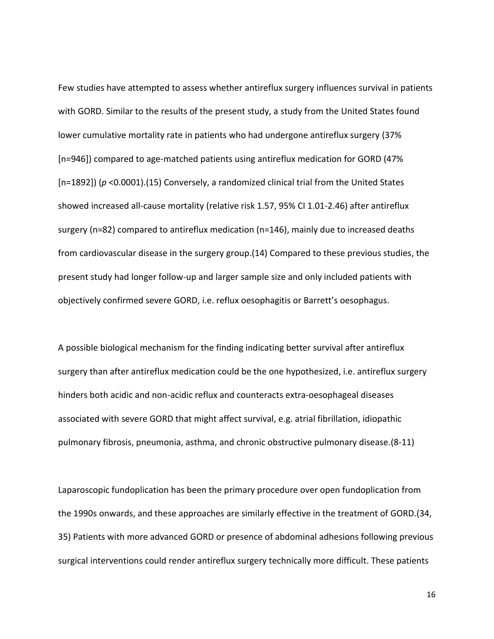Few studies have attempted to assess whether antireflux surgery influences survival in patients with GORD. Similar to the results of the present study, a study from the United States found lower cumulative mortality rate in patients who had undergone antireflux surgery (37% [n=946]) compared to age-matched patients using antireflux medication for GORD (47% [n=1892]) (*p* <0.0001).(15) Conversely, a randomized clinical trial from the United States showed increased all-cause mortality (relative risk 1.57, 95% CI 1.01-2.46) after antireflux surgery (n=82) compared to antireflux medication (n=146), mainly due to increased deaths from cardiovascular disease in the surgery group.(14) Compared to these previous studies, the present study had longer follow-up and larger sample size and only included patients with objectively confirmed severe GORD, i.e. reflux oesophagitis or Barrett's oesophagus.

A possible biological mechanism for the finding indicating better survival after antireflux surgery than after antireflux medication could be the one hypothesized, i.e. antireflux surgery hinders both acidic and non-acidic reflux and counteracts extra-oesophageal diseases associated with severe GORD that might affect survival, e.g. atrial fibrillation, idiopathic pulmonary fibrosis, pneumonia, asthma, and chronic obstructive pulmonary disease.(8-11)

Laparoscopic fundoplication has been the primary procedure over open fundoplication from the 1990s onwards, and these approaches are similarly effective in the treatment of GORD.(34, 35) Patients with more advanced GORD or presence of abdominal adhesions following previous surgical interventions could render antireflux surgery technically more difficult. These patients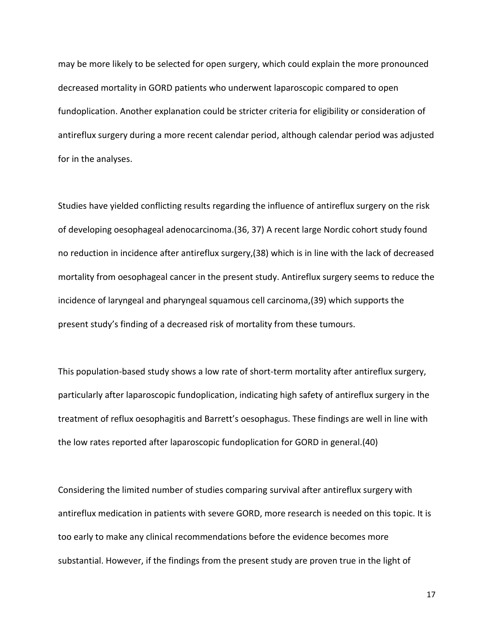may be more likely to be selected for open surgery, which could explain the more pronounced decreased mortality in GORD patients who underwent laparoscopic compared to open fundoplication. Another explanation could be stricter criteria for eligibility or consideration of antireflux surgery during a more recent calendar period, although calendar period was adjusted for in the analyses.

Studies have yielded conflicting results regarding the influence of antireflux surgery on the risk of developing oesophageal adenocarcinoma.(36, 37) A recent large Nordic cohort study found no reduction in incidence after antireflux surgery,(38) which is in line with the lack of decreased mortality from oesophageal cancer in the present study. Antireflux surgery seems to reduce the incidence of laryngeal and pharyngeal squamous cell carcinoma,(39) which supports the present study's finding of a decreased risk of mortality from these tumours.

This population-based study shows a low rate of short-term mortality after antireflux surgery, particularly after laparoscopic fundoplication, indicating high safety of antireflux surgery in the treatment of reflux oesophagitis and Barrett's oesophagus. These findings are well in line with the low rates reported after laparoscopic fundoplication for GORD in general.(40)

Considering the limited number of studies comparing survival after antireflux surgery with antireflux medication in patients with severe GORD, more research is needed on this topic. It is too early to make any clinical recommendations before the evidence becomes more substantial. However, if the findings from the present study are proven true in the light of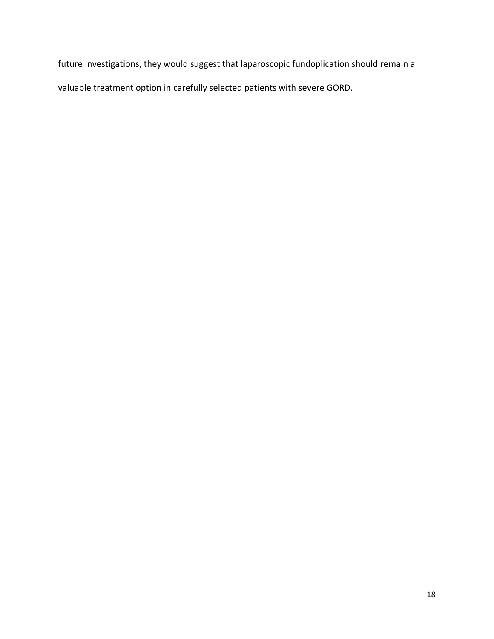future investigations, they would suggest that laparoscopic fundoplication should remain a valuable treatment option in carefully selected patients with severe GORD.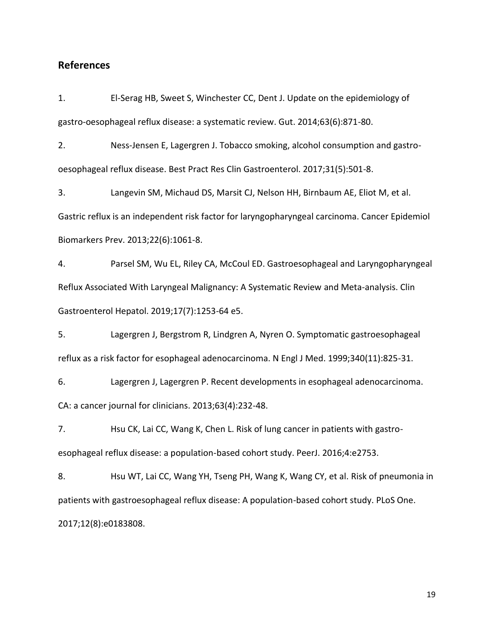### **References**

1. El-Serag HB, Sweet S, Winchester CC, Dent J. Update on the epidemiology of gastro-oesophageal reflux disease: a systematic review. Gut. 2014;63(6):871-80.

2. Ness-Jensen E, Lagergren J. Tobacco smoking, alcohol consumption and gastrooesophageal reflux disease. Best Pract Res Clin Gastroenterol. 2017;31(5):501-8.

3. Langevin SM, Michaud DS, Marsit CJ, Nelson HH, Birnbaum AE, Eliot M, et al. Gastric reflux is an independent risk factor for laryngopharyngeal carcinoma. Cancer Epidemiol Biomarkers Prev. 2013;22(6):1061-8.

4. Parsel SM, Wu EL, Riley CA, McCoul ED. Gastroesophageal and Laryngopharyngeal Reflux Associated With Laryngeal Malignancy: A Systematic Review and Meta-analysis. Clin Gastroenterol Hepatol. 2019;17(7):1253-64 e5.

5. Lagergren J, Bergstrom R, Lindgren A, Nyren O. Symptomatic gastroesophageal reflux as a risk factor for esophageal adenocarcinoma. N Engl J Med. 1999;340(11):825-31.

6. Lagergren J, Lagergren P. Recent developments in esophageal adenocarcinoma. CA: a cancer journal for clinicians. 2013;63(4):232-48.

7. Hsu CK, Lai CC, Wang K, Chen L. Risk of lung cancer in patients with gastroesophageal reflux disease: a population-based cohort study. PeerJ. 2016;4:e2753.

8. Hsu WT, Lai CC, Wang YH, Tseng PH, Wang K, Wang CY, et al. Risk of pneumonia in patients with gastroesophageal reflux disease: A population-based cohort study. PLoS One. 2017;12(8):e0183808.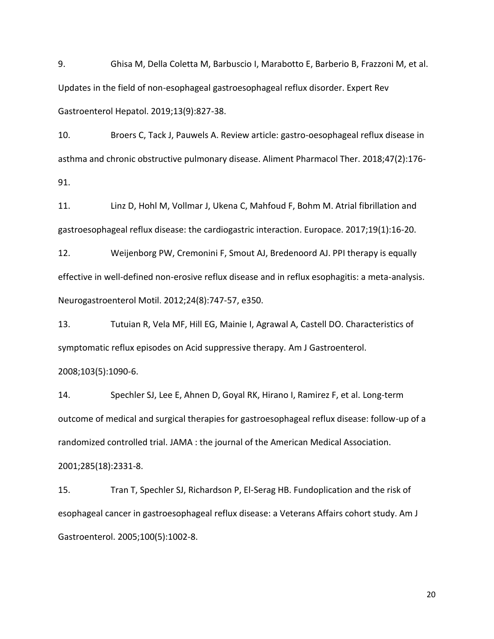9. Ghisa M, Della Coletta M, Barbuscio I, Marabotto E, Barberio B, Frazzoni M, et al. Updates in the field of non-esophageal gastroesophageal reflux disorder. Expert Rev Gastroenterol Hepatol. 2019;13(9):827-38.

10. Broers C, Tack J, Pauwels A. Review article: gastro-oesophageal reflux disease in asthma and chronic obstructive pulmonary disease. Aliment Pharmacol Ther. 2018;47(2):176- 91.

11. Linz D, Hohl M, Vollmar J, Ukena C, Mahfoud F, Bohm M. Atrial fibrillation and gastroesophageal reflux disease: the cardiogastric interaction. Europace. 2017;19(1):16-20.

12. Weijenborg PW, Cremonini F, Smout AJ, Bredenoord AJ. PPI therapy is equally effective in well-defined non-erosive reflux disease and in reflux esophagitis: a meta-analysis. Neurogastroenterol Motil. 2012;24(8):747-57, e350.

13. Tutuian R, Vela MF, Hill EG, Mainie I, Agrawal A, Castell DO. Characteristics of symptomatic reflux episodes on Acid suppressive therapy. Am J Gastroenterol.

### 2008;103(5):1090-6.

14. Spechler SJ, Lee E, Ahnen D, Goyal RK, Hirano I, Ramirez F, et al. Long-term outcome of medical and surgical therapies for gastroesophageal reflux disease: follow-up of a randomized controlled trial. JAMA : the journal of the American Medical Association. 2001;285(18):2331-8.

15. Tran T, Spechler SJ, Richardson P, El-Serag HB. Fundoplication and the risk of esophageal cancer in gastroesophageal reflux disease: a Veterans Affairs cohort study. Am J Gastroenterol. 2005;100(5):1002-8.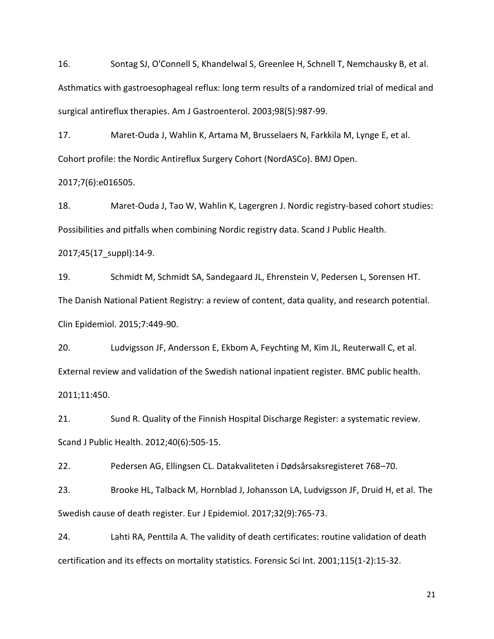16. Sontag SJ, O'Connell S, Khandelwal S, Greenlee H, Schnell T, Nemchausky B, et al. Asthmatics with gastroesophageal reflux: long term results of a randomized trial of medical and surgical antireflux therapies. Am J Gastroenterol. 2003;98(5):987-99.

17. Maret-Ouda J, Wahlin K, Artama M, Brusselaers N, Farkkila M, Lynge E, et al. Cohort profile: the Nordic Antireflux Surgery Cohort (NordASCo). BMJ Open.

2017;7(6):e016505.

18. Maret-Ouda J, Tao W, Wahlin K, Lagergren J. Nordic registry-based cohort studies: Possibilities and pitfalls when combining Nordic registry data. Scand J Public Health.

2017;45(17\_suppl):14-9.

19. Schmidt M, Schmidt SA, Sandegaard JL, Ehrenstein V, Pedersen L, Sorensen HT. The Danish National Patient Registry: a review of content, data quality, and research potential. Clin Epidemiol. 2015;7:449-90.

20. Ludvigsson JF, Andersson E, Ekbom A, Feychting M, Kim JL, Reuterwall C, et al. External review and validation of the Swedish national inpatient register. BMC public health. 2011;11:450.

21. Sund R. Quality of the Finnish Hospital Discharge Register: a systematic review. Scand J Public Health. 2012;40(6):505-15.

22. Pedersen AG, Ellingsen CL. Datakvaliteten i Dødsårsaksregisteret 768–70.

23. Brooke HL, Talback M, Hornblad J, Johansson LA, Ludvigsson JF, Druid H, et al. The Swedish cause of death register. Eur J Epidemiol. 2017;32(9):765-73.

24. Lahti RA, Penttila A. The validity of death certificates: routine validation of death certification and its effects on mortality statistics. Forensic Sci Int. 2001;115(1-2):15-32.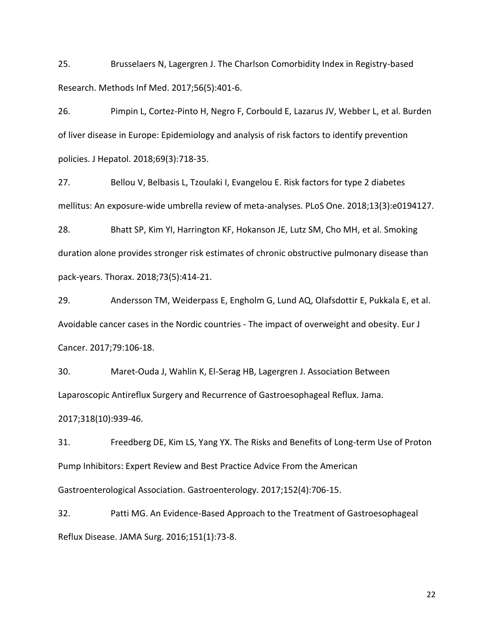25. Brusselaers N, Lagergren J. The Charlson Comorbidity Index in Registry-based Research. Methods Inf Med. 2017;56(5):401-6.

26. Pimpin L, Cortez-Pinto H, Negro F, Corbould E, Lazarus JV, Webber L, et al. Burden of liver disease in Europe: Epidemiology and analysis of risk factors to identify prevention policies. J Hepatol. 2018;69(3):718-35.

27. Bellou V, Belbasis L, Tzoulaki I, Evangelou E. Risk factors for type 2 diabetes mellitus: An exposure-wide umbrella review of meta-analyses. PLoS One. 2018;13(3):e0194127.

28. Bhatt SP, Kim YI, Harrington KF, Hokanson JE, Lutz SM, Cho MH, et al. Smoking duration alone provides stronger risk estimates of chronic obstructive pulmonary disease than pack-years. Thorax. 2018;73(5):414-21.

29. Andersson TM, Weiderpass E, Engholm G, Lund AQ, Olafsdottir E, Pukkala E, et al. Avoidable cancer cases in the Nordic countries - The impact of overweight and obesity. Eur J Cancer. 2017;79:106-18.

30. Maret-Ouda J, Wahlin K, El-Serag HB, Lagergren J. Association Between Laparoscopic Antireflux Surgery and Recurrence of Gastroesophageal Reflux. Jama. 2017;318(10):939-46.

31. Freedberg DE, Kim LS, Yang YX. The Risks and Benefits of Long-term Use of Proton Pump Inhibitors: Expert Review and Best Practice Advice From the American Gastroenterological Association. Gastroenterology. 2017;152(4):706-15.

32. Patti MG. An Evidence-Based Approach to the Treatment of Gastroesophageal Reflux Disease. JAMA Surg. 2016;151(1):73-8.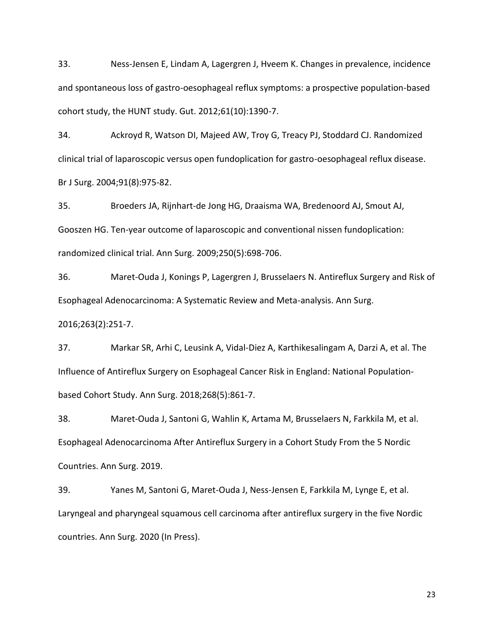33. Ness-Jensen E, Lindam A, Lagergren J, Hveem K. Changes in prevalence, incidence and spontaneous loss of gastro-oesophageal reflux symptoms: a prospective population-based cohort study, the HUNT study. Gut. 2012;61(10):1390-7.

34. Ackroyd R, Watson DI, Majeed AW, Troy G, Treacy PJ, Stoddard CJ. Randomized clinical trial of laparoscopic versus open fundoplication for gastro-oesophageal reflux disease. Br J Surg. 2004;91(8):975-82.

35. Broeders JA, Rijnhart-de Jong HG, Draaisma WA, Bredenoord AJ, Smout AJ, Gooszen HG. Ten-year outcome of laparoscopic and conventional nissen fundoplication: randomized clinical trial. Ann Surg. 2009;250(5):698-706.

36. Maret-Ouda J, Konings P, Lagergren J, Brusselaers N. Antireflux Surgery and Risk of Esophageal Adenocarcinoma: A Systematic Review and Meta-analysis. Ann Surg.

2016;263(2):251-7.

37. Markar SR, Arhi C, Leusink A, Vidal-Diez A, Karthikesalingam A, Darzi A, et al. The Influence of Antireflux Surgery on Esophageal Cancer Risk in England: National Populationbased Cohort Study. Ann Surg. 2018;268(5):861-7.

38. Maret-Ouda J, Santoni G, Wahlin K, Artama M, Brusselaers N, Farkkila M, et al. Esophageal Adenocarcinoma After Antireflux Surgery in a Cohort Study From the 5 Nordic Countries. Ann Surg. 2019.

39. Yanes M, Santoni G, Maret-Ouda J, Ness-Jensen E, Farkkila M, Lynge E, et al. Laryngeal and pharyngeal squamous cell carcinoma after antireflux surgery in the five Nordic countries. Ann Surg. 2020 (In Press).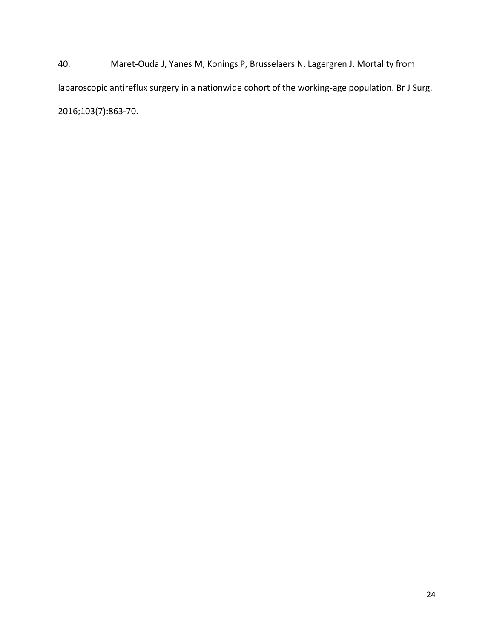40. Maret-Ouda J, Yanes M, Konings P, Brusselaers N, Lagergren J. Mortality from laparoscopic antireflux surgery in a nationwide cohort of the working-age population. Br J Surg. 2016;103(7):863-70.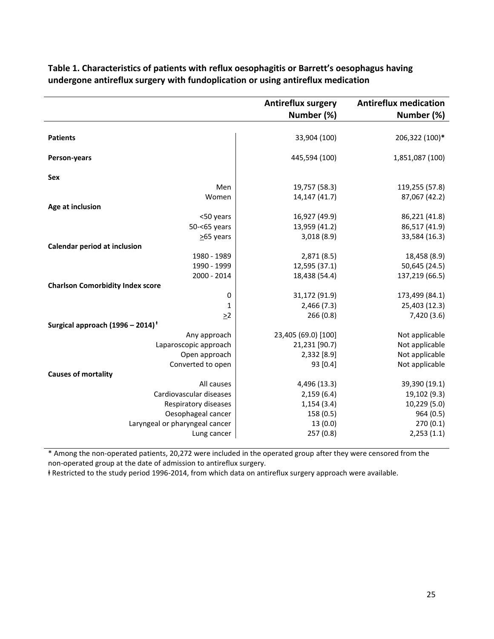|                                              | <b>Antireflux surgery</b> | <b>Antireflux medication</b> |
|----------------------------------------------|---------------------------|------------------------------|
|                                              | Number (%)                | Number (%)                   |
|                                              |                           |                              |
| <b>Patients</b>                              | 33,904 (100)              | 206,322 (100)*               |
| Person-years                                 | 445,594 (100)             | 1,851,087 (100)              |
| <b>Sex</b>                                   |                           |                              |
| Men                                          | 19,757 (58.3)             | 119,255 (57.8)               |
| Women                                        | 14,147 (41.7)             | 87,067 (42.2)                |
| Age at inclusion                             |                           |                              |
| <50 years                                    | 16,927 (49.9)             | 86,221 (41.8)                |
| 50-<65 years                                 | 13,959 (41.2)             | 86,517 (41.9)                |
| $>65$ years                                  | 3,018(8.9)                | 33,584 (16.3)                |
| <b>Calendar period at inclusion</b>          |                           |                              |
| 1980 - 1989                                  | 2,871(8.5)                | 18,458 (8.9)                 |
| 1990 - 1999                                  | 12,595 (37.1)             | 50,645 (24.5)                |
| 2000 - 2014                                  | 18,438 (54.4)             | 137,219 (66.5)               |
| <b>Charlson Comorbidity Index score</b>      |                           |                              |
| 0                                            | 31,172 (91.9)             | 173,499 (84.1)               |
| 1                                            | 2,466(7.3)                | 25,403 (12.3)                |
| $\geq$ 2                                     | 266(0.8)                  | 7,420 (3.6)                  |
| Surgical approach (1996 - 2014) <sup>†</sup> |                           |                              |
| Any approach                                 | 23,405 (69.0) [100]       | Not applicable               |
| Laparoscopic approach                        | 21,231 [90.7]             | Not applicable               |
| Open approach                                | 2,332 [8.9]               | Not applicable               |
| Converted to open                            | 93 [0.4]                  | Not applicable               |
| <b>Causes of mortality</b>                   |                           |                              |
| All causes                                   | 4,496 (13.3)              | 39,390 (19.1)                |
| Cardiovascular diseases                      | 2,159(6.4)                | 19,102 (9.3)                 |
| Respiratory diseases                         | 1,154(3.4)                | 10,229 (5.0)                 |
| Oesophageal cancer                           | 158 (0.5)                 | 964 (0.5)                    |
| Laryngeal or pharyngeal cancer               | 13(0.0)                   | 270(0.1)                     |
| Lung cancer                                  | 257(0.8)                  | 2,253(1.1)                   |

# **Table 1. Characteristics of patients with reflux oesophagitis or Barrett's oesophagus having undergone antireflux surgery with fundoplication or using antireflux medication**

\* Among the non-operated patients, 20,272 were included in the operated group after they were censored from the non-operated group at the date of admission to antireflux surgery.

ⱡ Restricted to the study period 1996-2014, from which data on antireflux surgery approach were available.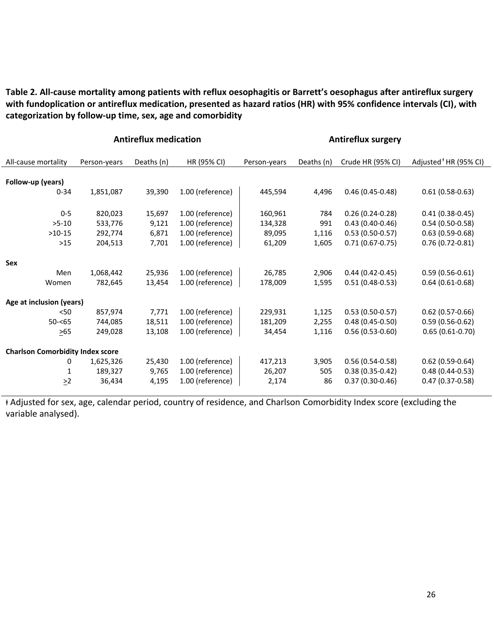**Table 2. All-cause mortality among patients with reflux oesophagitis or Barrett's oesophagus after antireflux surgery with fundoplication or antireflux medication, presented as hazard ratios (HR) with 95% confidence intervals (CI), with categorization by follow-up time, sex, age and comorbidity**

|                                         | <b>Antireflux medication</b> |            |                  |              | <b>Antireflux surgery</b> |                   |                                   |
|-----------------------------------------|------------------------------|------------|------------------|--------------|---------------------------|-------------------|-----------------------------------|
| All-cause mortality                     | Person-years                 | Deaths (n) | HR (95% CI)      | Person-years | Deaths (n)                | Crude HR (95% CI) | Adjusted <sup>+</sup> HR (95% CI) |
|                                         |                              |            |                  |              |                           |                   |                                   |
| Follow-up (years)                       |                              |            |                  |              |                           |                   |                                   |
| $0 - 34$                                | 1,851,087                    | 39,390     | 1.00 (reference) | 445,594      | 4,496                     | $0.46(0.45-0.48)$ | $0.61(0.58-0.63)$                 |
|                                         |                              |            |                  |              |                           |                   |                                   |
| $0-5$                                   | 820,023                      | 15,697     | 1.00 (reference) | 160,961      | 784                       | $0.26(0.24-0.28)$ | $0.41(0.38-0.45)$                 |
| $>5-10$                                 | 533,776                      | 9,121      | 1.00 (reference) | 134,328      | 991                       | $0.43(0.40-0.46)$ | $0.54(0.50-0.58)$                 |
| $>10-15$                                | 292,774                      | 6,871      | 1.00 (reference) | 89,095       | 1,116                     | $0.53(0.50-0.57)$ | $0.63(0.59-0.68)$                 |
| $>15$                                   | 204,513                      | 7,701      | 1.00 (reference) | 61,209       | 1,605                     | $0.71(0.67-0.75)$ | $0.76(0.72-0.81)$                 |
|                                         |                              |            |                  |              |                           |                   |                                   |
| Sex                                     |                              |            |                  |              |                           |                   |                                   |
| Men                                     | 1,068,442                    | 25,936     | 1.00 (reference) | 26,785       | 2,906                     | $0.44(0.42-0.45)$ | $0.59(0.56-0.61)$                 |
| Women                                   | 782,645                      | 13,454     | 1.00 (reference) | 178,009      | 1,595                     | $0.51(0.48-0.53)$ | $0.64(0.61-0.68)$                 |
|                                         |                              |            |                  |              |                           |                   |                                   |
| Age at inclusion (years)                |                              |            |                  |              |                           |                   |                                   |
| < 50                                    | 857,974                      | 7,771      | 1.00 (reference) | 229,931      | 1,125                     | $0.53(0.50-0.57)$ | $0.62(0.57-0.66)$                 |
| $50 - 65$                               | 744,085                      | 18,511     | 1.00 (reference) | 181,209      | 2,255                     | $0.48(0.45-0.50)$ | $0.59(0.56-0.62)$                 |
| $\geq 65$                               | 249,028                      | 13,108     | 1.00 (reference) | 34,454       | 1,116                     | $0.56(0.53-0.60)$ | $0.65(0.61-0.70)$                 |
|                                         |                              |            |                  |              |                           |                   |                                   |
| <b>Charlson Comorbidity Index score</b> |                              |            |                  |              |                           |                   |                                   |
| 0                                       | 1,625,326                    | 25,430     | 1.00 (reference) | 417,213      | 3,905                     | $0.56(0.54-0.58)$ | $0.62(0.59-0.64)$                 |
| 1                                       | 189,327                      | 9,765      | 1.00 (reference) | 26,207       | 505                       | $0.38(0.35-0.42)$ | $0.48(0.44-0.53)$                 |
| $\geq$ 2                                | 36,434                       | 4,195      | 1.00 (reference) | 2,174        | 86                        | $0.37(0.30-0.46)$ | $0.47(0.37 - 0.58)$               |
|                                         |                              |            |                  |              |                           |                   |                                   |

ⱡ Adjusted for sex, age, calendar period, country of residence, and Charlson Comorbidity Index score (excluding the variable analysed).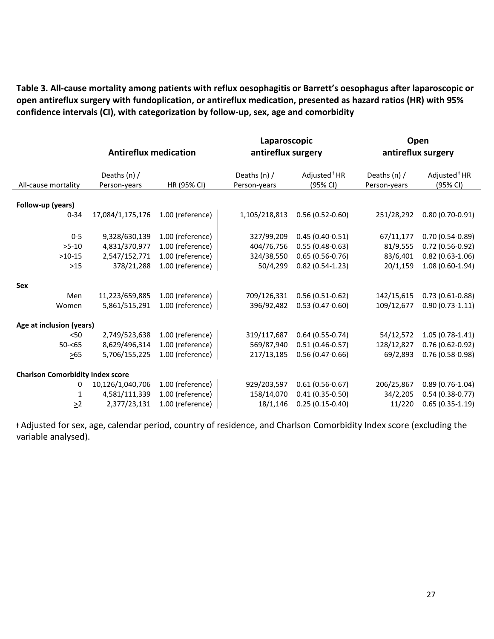**Table 3. All-cause mortality among patients with reflux oesophagitis or Barrett's oesophagus after laparoscopic or open antireflux surgery with fundoplication, or antireflux medication, presented as hazard ratios (HR) with 95% confidence intervals (CI), with categorization by follow-up, sex, age and comorbidity**

|                                         |                              |                  | Laparoscopic                 |                                      | Open                         |                                      |  |
|-----------------------------------------|------------------------------|------------------|------------------------------|--------------------------------------|------------------------------|--------------------------------------|--|
|                                         | <b>Antireflux medication</b> |                  | antireflux surgery           |                                      | antireflux surgery           |                                      |  |
| All-cause mortality                     | Deaths (n) /<br>Person-years | HR (95% CI)      | Deaths (n) /<br>Person-years | Adjusted <sup>+</sup> HR<br>(95% CI) | Deaths (n) /<br>Person-years | Adjusted <sup>+</sup> HR<br>(95% CI) |  |
| Follow-up (years)                       |                              |                  |                              |                                      |                              |                                      |  |
|                                         |                              |                  |                              |                                      |                              |                                      |  |
| $0 - 34$                                | 17,084/1,175,176             | 1.00 (reference) | 1,105/218,813                | $0.56(0.52-0.60)$                    | 251/28,292                   | $0.80(0.70-0.91)$                    |  |
|                                         |                              |                  |                              |                                      |                              |                                      |  |
| $0 - 5$                                 | 9,328/630,139                | 1.00 (reference) | 327/99,209                   | $0.45(0.40-0.51)$                    | 67/11,177                    | $0.70(0.54-0.89)$                    |  |
| $>5-10$                                 | 4,831/370,977                | 1.00 (reference) | 404/76,756                   | $0.55(0.48-0.63)$                    | 81/9,555                     | $0.72(0.56-0.92)$                    |  |
| $>10-15$                                | 2,547/152,771                | 1.00 (reference) | 324/38,550                   | $0.65(0.56-0.76)$                    | 83/6,401                     | $0.82(0.63-1.06)$                    |  |
| $>15$                                   | 378/21,288                   | 1.00 (reference) | 50/4,299                     | $0.82(0.54-1.23)$                    | 20/1,159                     | $1.08(0.60-1.94)$                    |  |
|                                         |                              |                  |                              |                                      |                              |                                      |  |
| Sex                                     |                              |                  |                              |                                      |                              |                                      |  |
| Men                                     | 11,223/659,885               | 1.00 (reference) | 709/126,331                  | $0.56(0.51-0.62)$                    | 142/15,615                   | $0.73(0.61-0.88)$                    |  |
| Women                                   | 5,861/515,291                | 1.00 (reference) | 396/92,482                   | $0.53(0.47-0.60)$                    | 109/12,677                   | $0.90(0.73-1.11)$                    |  |
|                                         |                              |                  |                              |                                      |                              |                                      |  |
| Age at inclusion (years)                |                              |                  |                              |                                      |                              |                                      |  |
| < 50                                    | 2,749/523,638                | 1.00 (reference) | 319/117,687                  | $0.64(0.55-0.74)$                    | 54/12,572                    | $1.05(0.78-1.41)$                    |  |
| $50 - 65$                               | 8,629/496,314                | 1.00 (reference) | 569/87,940                   | $0.51(0.46-0.57)$                    | 128/12,827                   | $0.76(0.62-0.92)$                    |  |
| $>65$                                   | 5,706/155,225                | 1.00 (reference) | 217/13,185                   | $0.56(0.47-0.66)$                    | 69/2,893                     | $0.76(0.58-0.98)$                    |  |
| <b>Charlson Comorbidity Index score</b> |                              |                  |                              |                                      |                              |                                      |  |
| 0                                       | 10,126/1,040,706             | 1.00 (reference) | 929/203,597                  | $0.61(0.56-0.67)$                    | 206/25,867                   | $0.89(0.76-1.04)$                    |  |
|                                         |                              |                  |                              |                                      |                              |                                      |  |
| 1                                       | 4,581/111,339                | 1.00 (reference) | 158/14,070                   | $0.41(0.35-0.50)$                    | 34/2,205                     | $0.54(0.38-0.77)$                    |  |
| $\geq$ 2                                | 2,377/23,131                 | 1.00 (reference) | 18/1,146                     | $0.25(0.15-0.40)$                    | 11/220                       | $0.65(0.35-1.19)$                    |  |

ⱡ Adjusted for sex, age, calendar period, country of residence, and Charlson Comorbidity Index score (excluding the variable analysed).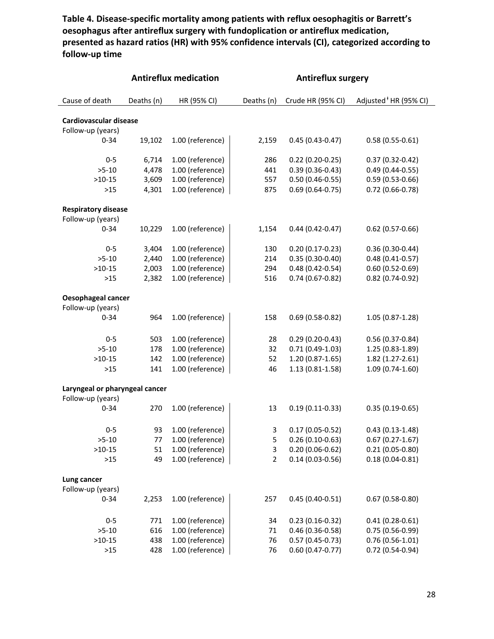**Table 4. Disease-specific mortality among patients with reflux oesophagitis or Barrett's oesophagus after antireflux surgery with fundoplication or antireflux medication, presented as hazard ratios (HR) with 95% confidence intervals (CI), categorized according to follow-up time**

|                                | <b>Antireflux medication</b> |                  | <b>Antireflux surgery</b> |                     |                                   |  |  |
|--------------------------------|------------------------------|------------------|---------------------------|---------------------|-----------------------------------|--|--|
| Cause of death                 | Deaths (n)                   | HR (95% CI)      | Deaths (n)                | Crude HR (95% CI)   | Adjusted <sup>+</sup> HR (95% CI) |  |  |
| <b>Cardiovascular disease</b>  |                              |                  |                           |                     |                                   |  |  |
| Follow-up (years)              |                              |                  |                           |                     |                                   |  |  |
| $0 - 34$                       | 19,102                       | 1.00 (reference) | 2,159                     | $0.45(0.43 - 0.47)$ | $0.58(0.55-0.61)$                 |  |  |
| $0 - 5$                        | 6,714                        | 1.00 (reference) | 286                       | $0.22(0.20-0.25)$   | $0.37(0.32 - 0.42)$               |  |  |
| $>5-10$                        | 4,478                        | 1.00 (reference) | 441                       | $0.39(0.36 - 0.43)$ | $0.49(0.44 - 0.55)$               |  |  |
| $>10-15$                       | 3,609                        | 1.00 (reference) | 557                       | $0.50(0.46 - 0.55)$ | $0.59(0.53-0.66)$                 |  |  |
| $>15$                          | 4,301                        | 1.00 (reference) | 875                       | $0.69(0.64-0.75)$   | $0.72(0.66-0.78)$                 |  |  |
| <b>Respiratory disease</b>     |                              |                  |                           |                     |                                   |  |  |
| Follow-up (years)              |                              |                  |                           |                     |                                   |  |  |
| $0 - 34$                       | 10,229                       | 1.00 (reference) | 1,154                     | $0.44(0.42 - 0.47)$ | $0.62$ (0.57-0.66)                |  |  |
| $0 - 5$                        | 3,404                        | 1.00 (reference) | 130                       | $0.20(0.17-0.23)$   | $0.36(0.30-0.44)$                 |  |  |
| $>5-10$                        | 2,440                        | 1.00 (reference) | 214                       | $0.35(0.30-0.40)$   | $0.48(0.41 - 0.57)$               |  |  |
| $>10-15$                       | 2,003                        | 1.00 (reference) | 294                       | $0.48(0.42 - 0.54)$ | $0.60(0.52 - 0.69)$               |  |  |
| $>15$                          | 2,382                        | 1.00 (reference) | 516                       | $0.74(0.67-0.82)$   | $0.82(0.74-0.92)$                 |  |  |
| <b>Oesophageal cancer</b>      |                              |                  |                           |                     |                                   |  |  |
| Follow-up (years)              |                              |                  |                           |                     |                                   |  |  |
| $0 - 34$                       | 964                          | 1.00 (reference) | 158                       | $0.69(0.58-0.82)$   | 1.05 (0.87-1.28)                  |  |  |
| $0 - 5$                        | 503                          | 1.00 (reference) | 28                        | $0.29(0.20-0.43)$   | $0.56(0.37-0.84)$                 |  |  |
| $>5-10$                        | 178                          | 1.00 (reference) | 32                        | $0.71(0.49-1.03)$   | 1.25 (0.83-1.89)                  |  |  |
| $>10-15$                       | 142                          | 1.00 (reference) | 52                        | $1.20(0.87-1.65)$   | 1.82 (1.27-2.61)                  |  |  |
| $>15$                          | 141                          | 1.00 (reference) | 46                        | $1.13(0.81 - 1.58)$ | $1.09(0.74-1.60)$                 |  |  |
| Laryngeal or pharyngeal cancer |                              |                  |                           |                     |                                   |  |  |
| Follow-up (years)              |                              |                  |                           |                     |                                   |  |  |
| $0 - 34$                       | 270                          | 1.00 (reference) | 13                        | $0.19(0.11-0.33)$   | $0.35(0.19-0.65)$                 |  |  |
| $0 - 5$                        | 93                           | 1.00 (reference) | 3                         | $0.17(0.05-0.52)$   | $0.43(0.13-1.48)$                 |  |  |
| $>5-10$                        | 77                           | 1.00 (reference) | 5                         | $0.26(0.10-0.63)$   | $0.67(0.27-1.67)$                 |  |  |
| $>10-15$                       | 51                           | 1.00 (reference) | 3                         | $0.20(0.06-0.62)$   | $0.21(0.05-0.80)$                 |  |  |
| >15                            | 49                           | 1.00 (reference) | 2                         | $0.14(0.03-0.56)$   | $0.18(0.04 - 0.81)$               |  |  |
| Lung cancer                    |                              |                  |                           |                     |                                   |  |  |
| Follow-up (years)              |                              |                  |                           |                     |                                   |  |  |
| $0 - 34$                       | 2,253                        | 1.00 (reference) | 257                       | $0.45(0.40-0.51)$   | $0.67(0.58-0.80)$                 |  |  |
| $0 - 5$                        | 771                          | 1.00 (reference) | 34                        | $0.23(0.16-0.32)$   | $0.41(0.28-0.61)$                 |  |  |
| $>5-10$                        | 616                          | 1.00 (reference) | 71                        | $0.46(0.36 - 0.58)$ | $0.75(0.56-0.99)$                 |  |  |
| $>10-15$                       | 438                          | 1.00 (reference) | 76                        | $0.57(0.45-0.73)$   | $0.76(0.56-1.01)$                 |  |  |
| $>15$                          | 428                          | 1.00 (reference) | 76                        | $0.60(0.47 - 0.77)$ | 0.72 (0.54-0.94)                  |  |  |
|                                |                              |                  |                           |                     |                                   |  |  |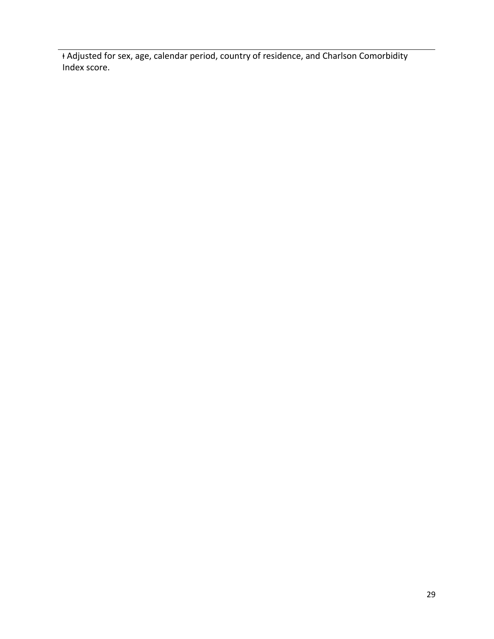ⱡ Adjusted for sex, age, calendar period, country of residence, and Charlson Comorbidity Index score.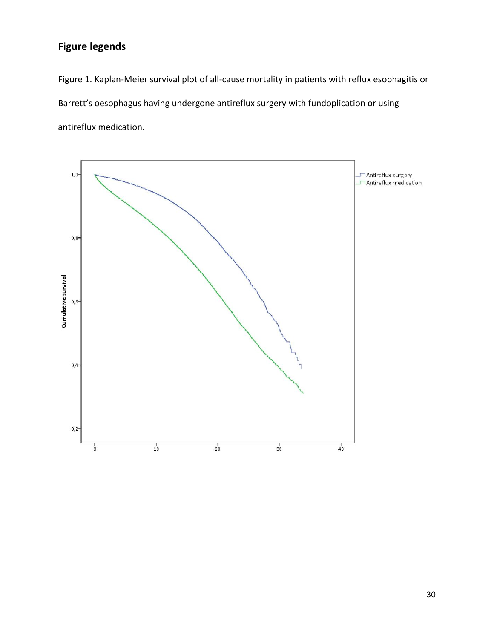# **Figure legends**

Figure 1. Kaplan-Meier survival plot of all-cause mortality in patients with reflux esophagitis or Barrett's oesophagus having undergone antireflux surgery with fundoplication or using antireflux medication.

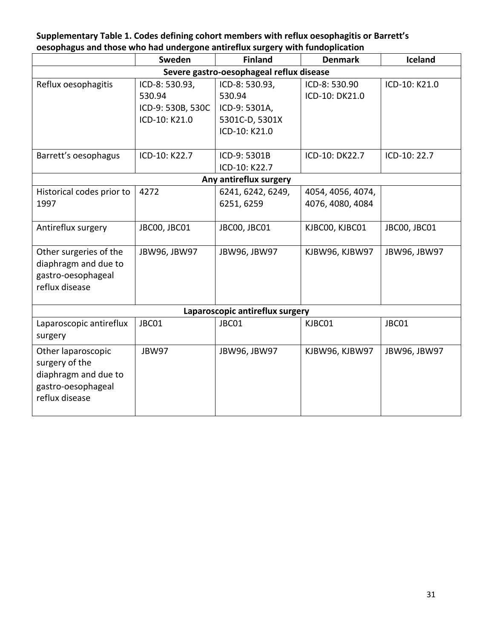# **Supplementary Table 1. Codes defining cohort members with reflux oesophagitis or Barrett's oesophagus and those who had undergone antireflux surgery with fundoplication**

|                                                                                                      | Sweden                                                         | <b>Finland</b>                                                               | <b>Denmark</b>                        | Iceland       |  |  |  |  |
|------------------------------------------------------------------------------------------------------|----------------------------------------------------------------|------------------------------------------------------------------------------|---------------------------------------|---------------|--|--|--|--|
| Severe gastro-oesophageal reflux disease                                                             |                                                                |                                                                              |                                       |               |  |  |  |  |
| Reflux oesophagitis                                                                                  | ICD-8: 530.93,<br>530.94<br>ICD-9: 530B, 530C<br>ICD-10: K21.0 | ICD-8: 530.93,<br>530.94<br>ICD-9: 5301A,<br>5301C-D, 5301X<br>ICD-10: K21.0 | ICD-8: 530.90<br>ICD-10: DK21.0       | ICD-10: K21.0 |  |  |  |  |
| Barrett's oesophagus                                                                                 | ICD-10: K22.7                                                  | ICD-9: 5301B<br>ICD-10: K22.7                                                | ICD-10: DK22.7                        | ICD-10: 22.7  |  |  |  |  |
|                                                                                                      |                                                                | Any antireflux surgery                                                       |                                       |               |  |  |  |  |
| Historical codes prior to<br>1997                                                                    | 4272                                                           | 6241, 6242, 6249,<br>6251, 6259                                              | 4054, 4056, 4074,<br>4076, 4080, 4084 |               |  |  |  |  |
| Antireflux surgery                                                                                   | JBC00, JBC01                                                   | JBC00, JBC01                                                                 | KJBC00, KJBC01                        | JBC00, JBC01  |  |  |  |  |
| Other surgeries of the<br>diaphragm and due to<br>gastro-oesophageal<br>reflux disease               | JBW96, JBW97                                                   | JBW96, JBW97                                                                 | KJBW96, KJBW97                        | JBW96, JBW97  |  |  |  |  |
| Laparoscopic antireflux surgery                                                                      |                                                                |                                                                              |                                       |               |  |  |  |  |
| Laparoscopic antireflux<br>surgery                                                                   | JBC01                                                          | JBC01                                                                        | KJBC01                                | JBC01         |  |  |  |  |
| Other laparoscopic<br>surgery of the<br>diaphragm and due to<br>gastro-oesophageal<br>reflux disease | JBW97                                                          | JBW96, JBW97                                                                 | KJBW96, KJBW97                        | JBW96, JBW97  |  |  |  |  |